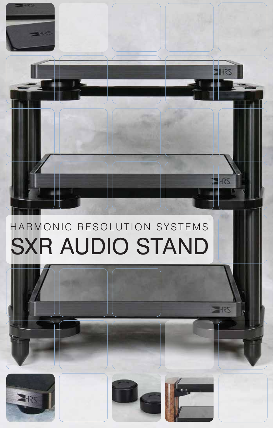

## SXR AUDIO STAND HARMONIC RESOLUTION SYSTEMS